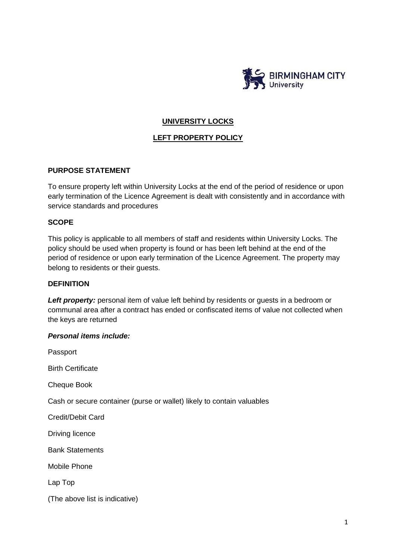

# **UNIVERSITY LOCKS**

### **LEFT PROPERTY POLICY**

### **PURPOSE STATEMENT**

To ensure property left within University Locks at the end of the period of residence or upon early termination of the Licence Agreement is dealt with consistently and in accordance with service standards and procedures

### **SCOPE**

This policy is applicable to all members of staff and residents within University Locks. The policy should be used when property is found or has been left behind at the end of the period of residence or upon early termination of the Licence Agreement. The property may belong to residents or their guests.

### **DEFINITION**

**Left property:** personal item of value left behind by residents or guests in a bedroom or communal area after a contract has ended or confiscated items of value not collected when the keys are returned

#### *Personal items include:*

Passport Birth Certificate Cheque Book Cash or secure container (purse or wallet) likely to contain valuables Credit/Debit Card Driving licence Bank Statements Mobile Phone Lap Top (The above list is indicative)